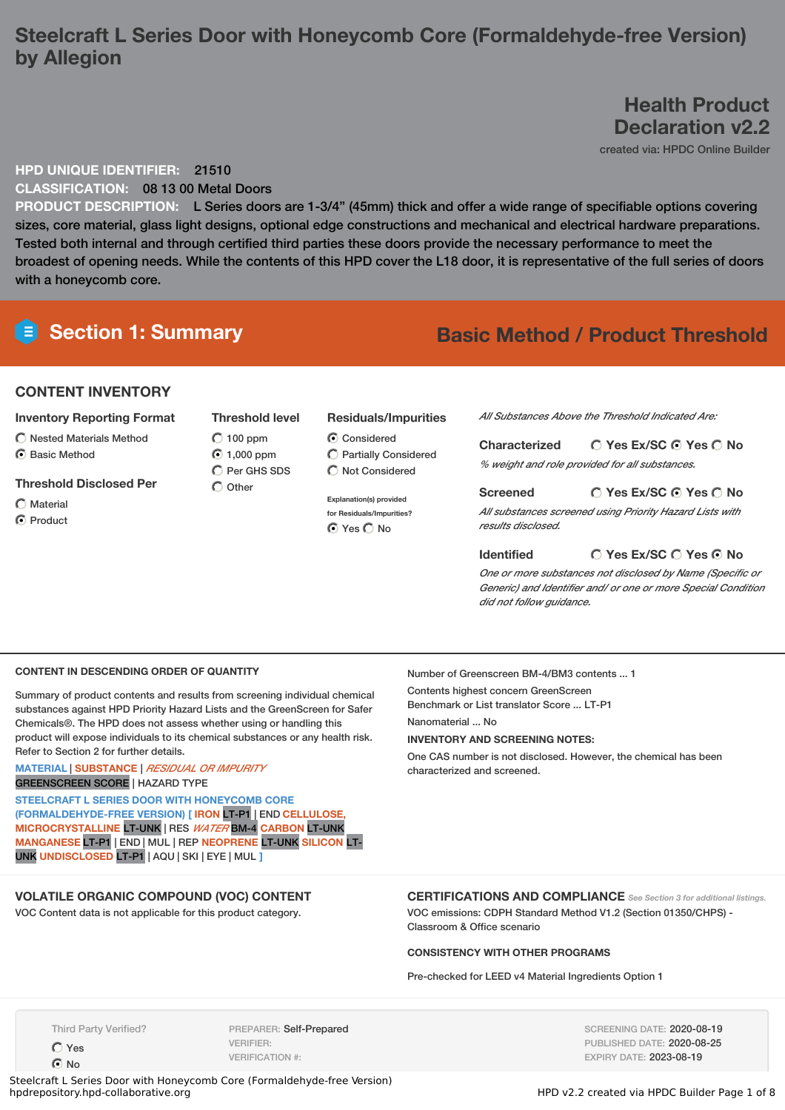## **Steelcraft L Series Door with Honeycomb Core (Formaldehyde-free Version) by Allegion**

**Health Product Declaration v2.2**

created via: HPDC Online Builder

#### **HPD UNIQUE IDENTIFIER:** 21510

**CLASSIFICATION:** 08 13 00 Metal Doors

**PRODUCT DESCRIPTION:** L Series doors are 1-3/4" (45mm) thick and offer a wide range of specifiable options covering sizes, core material, glass light designs, optional edge constructions and mechanical and electrical hardware preparations. Tested both internal and through certified third parties these doors provide the necessary performance to meet the broadest of opening needs. While the contents of this HPD cover the L18 door, it is representative of the full series of doors with a honeycomb core.

## **Section 1: Summary Basic Method / Product Threshold**

#### **CONTENT INVENTORY**

#### **Inventory Reporting Format**

- $\bigcirc$  Nested Materials Method
- $\odot$  Basic Method

#### **Threshold Disclosed Per**

- $\bigcap$  Material
- **⊙** Product

**Threshold level**  $O$  100 ppm 1,000 ppm  $\overline{O}$  Per GHS SDS  $\bigcap$  Other

#### **Residuals/Impurities**

C Considered Partially Considered  $\bigcirc$  Not Considered

**Explanation(s) provided for Residuals/Impurities? ⊙** Yes ○ No

*All Substances Above the Threshold Indicated Are:*

| <b>Characterized</b> | $\bigcirc$ Yes Ex/SC $\bigcirc$ Yes $\bigcirc$ No |
|----------------------|---------------------------------------------------|
|                      | % weight and role provided for all substances.    |

#### **Yes Ex/SC Yes No Screened** *All substances screened using Priority Hazard Lists with results disclosed.*

#### **Yes Ex/SC Yes No Identified**

*One or more substances not disclosed by Name (Specific or Generic) and Identifier and/ or one or more Special Condition did not follow guidance.*

#### **CONTENT IN DESCENDING ORDER OF QUANTITY**

Summary of product contents and results from screening individual chemical substances against HPD Priority Hazard Lists and the GreenScreen for Safer Chemicals®. The HPD does not assess whether using or handling this product will expose individuals to its chemical substances or any health risk. Refer to Section 2 for further details.

#### **MATERIAL** | **SUBSTANCE** | *RESIDUAL OR IMPURITY* GREENSCREEN SCORE | HAZARD TYPE

**STEELCRAFT L SERIES DOOR WITH HONEYCOMB CORE (FORMALDEHYDE-FREE VERSION) [ IRON** LT-P1 | END **CELLULOSE, MICROCRYSTALLINE** LT-UNK | RES *WATER* BM-4 **CARBON** LT-UNK **MANGANESE** LT-P1 | END | MUL | REP **NEOPRENE** LT-UNK **SILICON** LT-UNK **UNDISCLOSED** LT-P1 | AQU | SKI | EYE | MUL **]**

#### **VOLATILE ORGANIC COMPOUND (VOC) CONTENT**

VOC Content data is not applicable for this product category.

Number of Greenscreen BM-4/BM3 contents ... 1

Contents highest concern GreenScreen Benchmark or List translator Score ... LT-P1

Nanomaterial No

#### **INVENTORY AND SCREENING NOTES:**

One CAS number is not disclosed. However, the chemical has been characterized and screened.

#### **CERTIFICATIONS AND COMPLIANCE** *See Section <sup>3</sup> for additional listings.* VOC emissions: CDPH Standard Method V1.2 (Section 01350/CHPS) - Classroom & Office scenario

#### **CONSISTENCY WITH OTHER PROGRAMS**

Pre-checked for LEED v4 Material Ingredients Option 1

Third Party Verified?

Yes

C<sub>No</sub>

PREPARER: Self-Prepared VERIFIER: VERIFICATION #:

SCREENING DATE: 2020-08-19 PUBLISHED DATE: 2020-08-25 EXPIRY DATE: 2023-08-19

Steelcraft L Series Door with Honeycomb Core (Formaldehyde-free Version)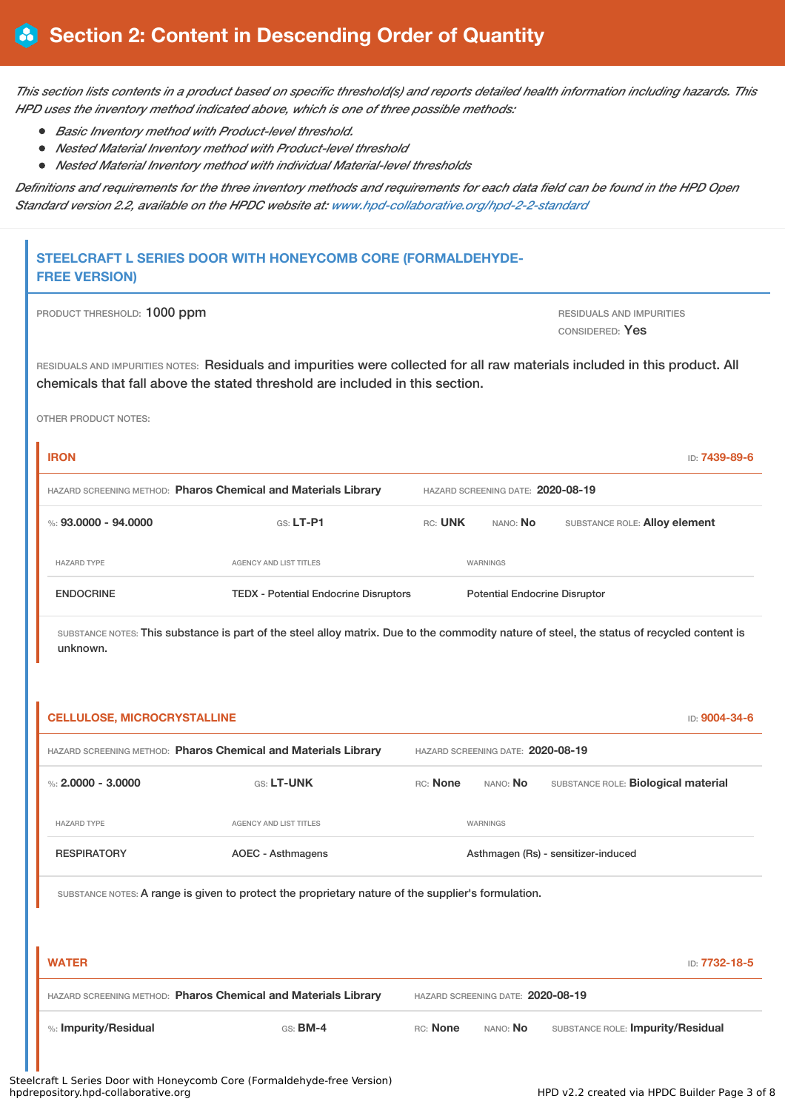This section lists contents in a product based on specific threshold(s) and reports detailed health information including hazards. This *HPD uses the inventory method indicated above, which is one of three possible methods:*

- *Basic Inventory method with Product-level threshold.*
- *Nested Material Inventory method with Product-level threshold*
- *Nested Material Inventory method with individual Material-level thresholds*

Definitions and requirements for the three inventory methods and requirements for each data field can be found in the HPD Open *Standard version 2.2, available on the HPDC website at: [www.hpd-collaborative.org/hpd-2-2-standard](https://www.hpd-collaborative.org/hpd-2-2-standard)*

### **STEELCRAFT L SERIES DOOR WITH HONEYCOMB CORE (FORMALDEHYDE-FREE VERSION)**

| PRODUCT THRESHOLD: 1000 ppm |  |  |  |
|-----------------------------|--|--|--|
|-----------------------------|--|--|--|

RESIDUALS AND IMPURITIES CONSIDERED: Yes

RESIDUALS AND IMPURITIES NOTES: Residuals and impurities were collected for all raw materials included in this product. All chemicals that fall above the stated threshold are included in this section.

OTHER PRODUCT NOTES:

| <b>IRON</b>                                                    |                                              |         |                                      | ID: <b>7439-89-6</b> |  |  |
|----------------------------------------------------------------|----------------------------------------------|---------|--------------------------------------|----------------------|--|--|
| HAZARD SCREENING METHOD: Pharos Chemical and Materials Library |                                              |         | HAZARD SCREENING DATE: 2020-08-19    |                      |  |  |
| %: 93.0000 - 94.0000                                           | $GS: LT-P1$                                  | RC: UNK | SUBSTANCE ROLE: Alloy element        |                      |  |  |
| <b>HAZARD TYPE</b>                                             | AGENCY AND LIST TITLES                       |         | WARNINGS                             |                      |  |  |
| <b>ENDOCRINE</b>                                               | <b>TEDX</b> - Potential Endocrine Disruptors |         | <b>Potential Endocrine Disruptor</b> |                      |  |  |

SUBSTANCE NOTES: This substance is part of the steel alloy matrix. Due to the commodity nature of steel, the status of recycled content is unknown.

| HAZARD SCREENING METHOD: Pharos Chemical and Materials Library | HAZARD SCREENING DATE: 2020-08-19                                                                                              |                                   |                 |                                     |  |
|----------------------------------------------------------------|--------------------------------------------------------------------------------------------------------------------------------|-----------------------------------|-----------------|-------------------------------------|--|
| %: $2.0000 - 3.0000$                                           | GS: LT-UNK                                                                                                                     | RC: None                          | nano: <b>No</b> | SUBSTANCE ROLE: Biological material |  |
| <b>HAZARD TYPE</b>                                             | AGENCY AND LIST TITLES                                                                                                         |                                   | <b>WARNINGS</b> |                                     |  |
|                                                                |                                                                                                                                |                                   |                 |                                     |  |
| <b>RESPIRATORY</b>                                             | <b>AOEC - Asthmagens</b><br>SUBSTANCE NOTES: A range is given to protect the proprietary nature of the supplier's formulation. |                                   |                 | Asthmagen (Rs) - sensitizer-induced |  |
|                                                                |                                                                                                                                |                                   |                 | ID: 7732-18-5                       |  |
| <b>WATER</b>                                                   | HAZARD SCREENING METHOD: Pharos Chemical and Materials Library                                                                 | HAZARD SCREENING DATE: 2020-08-19 |                 |                                     |  |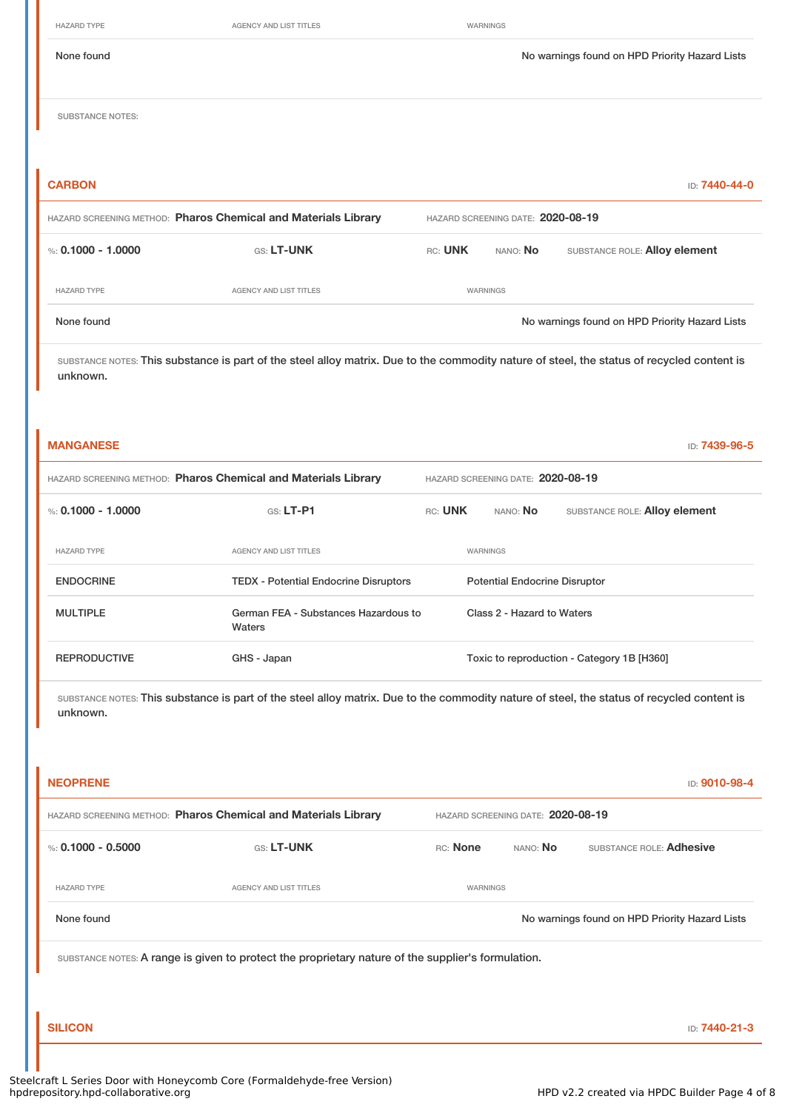HAZARD TYPE **AGENCY AND LIST TITLES AGENCY AND LIST TITLES WARNINGS** None found Nowarnings found on HPD Priority Hazard Lists SUBSTANCE NOTES: **CARBON** ID: **7440-44-0** HAZARD SCREENING METHOD: **Pharos Chemical and Materials Library** HAZARD SCREENING DATE: **2020-08-19** %: **0.1000 - 1.0000** GS: LT-UNK RC: UNK NANO: No SUBSTANCE ROLE: Alloy element HAZARD TYPE **AGENCY AND LIST TITLES AGENCY AND LIST TITLES WARNINGS** None found Nowarnings found on HPD Priority Hazard Lists

SUBSTANCE NOTES: This substance is part of the steel alloy matrix. Due to the commodity nature of steel, the status of recycled content is unknown.

| <b>MANGANESE</b><br>ID: <b>7439-96-5</b>                       |                                                |                                   |          |                                      |                                            |
|----------------------------------------------------------------|------------------------------------------------|-----------------------------------|----------|--------------------------------------|--------------------------------------------|
| HAZARD SCREENING METHOD: Pharos Chemical and Materials Library |                                                | HAZARD SCREENING DATE: 2020-08-19 |          |                                      |                                            |
| %: 0.1000 - 1.0000                                             | $GS: LT-P1$                                    | RC: UNK                           |          | NANO: <b>No</b>                      | SUBSTANCE ROLE: Alloy element              |
| <b>HAZARD TYPE</b>                                             | <b>AGENCY AND LIST TITLES</b>                  |                                   | WARNINGS |                                      |                                            |
| <b>ENDOCRINE</b>                                               | <b>TEDX</b> - Potential Endocrine Disruptors   |                                   |          | <b>Potential Endocrine Disruptor</b> |                                            |
| <b>MULTIPLE</b>                                                | German FEA - Substances Hazardous to<br>Waters |                                   |          | Class 2 - Hazard to Waters           |                                            |
| <b>REPRODUCTIVE</b>                                            | GHS - Japan                                    |                                   |          |                                      | Toxic to reproduction - Category 1B [H360] |

SUBSTANCE NOTES: This substance is part of the steel alloy matrix. Due to the commodity nature of steel, the status of recycled content is unknown.

| <b>NEOPRENE</b>                                                |                                                                                                    |                                   |          | ID: 9010-98-4                                  |
|----------------------------------------------------------------|----------------------------------------------------------------------------------------------------|-----------------------------------|----------|------------------------------------------------|
| HAZARD SCREENING METHOD: Pharos Chemical and Materials Library |                                                                                                    | HAZARD SCREENING DATE: 2020-08-19 |          |                                                |
| %: $0.1000 - 0.5000$                                           | GS: LT-UNK                                                                                         | RC: None                          | NANO: No | SUBSTANCE ROLE: Adhesive                       |
| <b>HAZARD TYPE</b>                                             | <b>AGENCY AND LIST TITLES</b>                                                                      | WARNINGS                          |          |                                                |
| None found                                                     |                                                                                                    |                                   |          | No warnings found on HPD Priority Hazard Lists |
|                                                                | SUBSTANCE NOTES: A range is given to protect the proprietary nature of the supplier's formulation. |                                   |          |                                                |
|                                                                |                                                                                                    |                                   |          |                                                |
| <b>SILICON</b>                                                 |                                                                                                    |                                   |          | ID: 7440-21-3                                  |
|                                                                |                                                                                                    |                                   |          |                                                |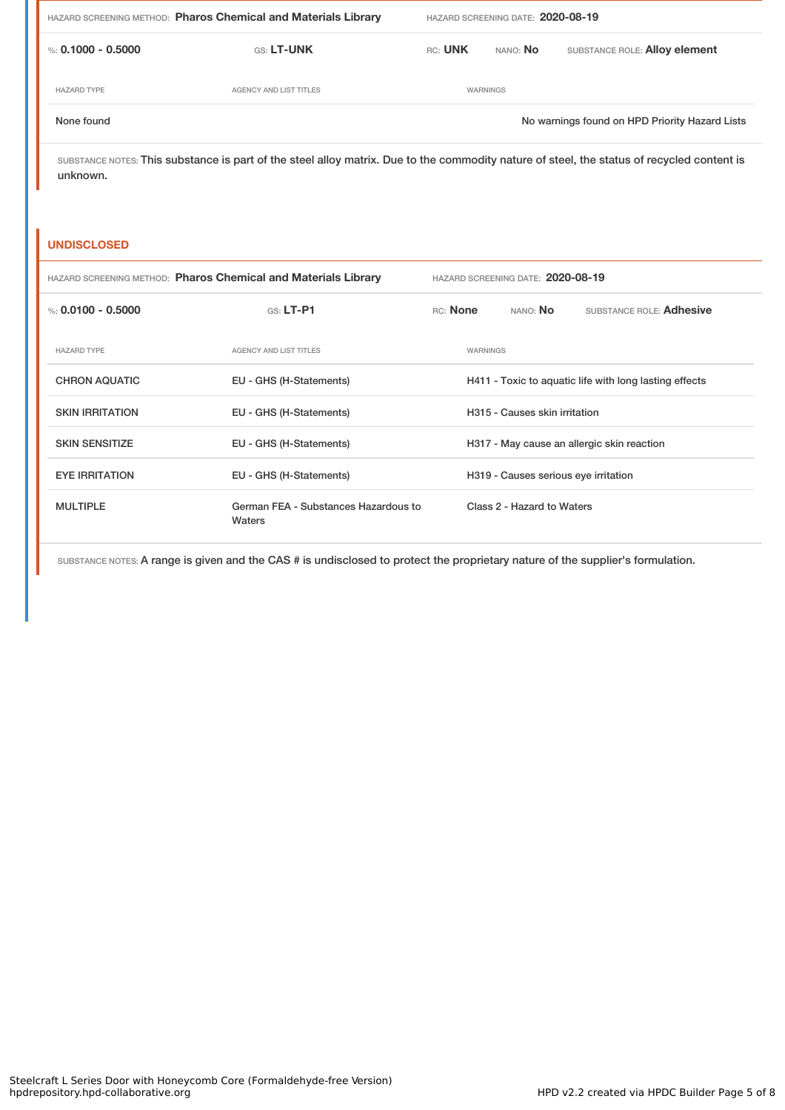| HAZARD SCREENING METHOD: Pharos Chemical and Materials Library |                        | HAZARD SCREENING DATE: 2020-08-19 |                 |                                                |  |
|----------------------------------------------------------------|------------------------|-----------------------------------|-----------------|------------------------------------------------|--|
| %: 0.1000 - 0.5000                                             | <b>GS: LT-UNK</b>      | RC: UNK                           | nano: <b>No</b> | SUBSTANCE ROLE: Alloy element                  |  |
| <b>HAZARD TYPE</b>                                             | AGENCY AND LIST TITLES |                                   | WARNINGS        |                                                |  |
| None found                                                     |                        |                                   |                 | No warnings found on HPD Priority Hazard Lists |  |

SUBSTANCE NOTES: This substance is part of the steel alloy matrix. Due to the commodity nature of steel, the status of recycled content is unknown.

#### **UNDISCLOSED**

| HAZARD SCREENING METHOD: Pharos Chemical and Materials Library |                                                | HAZARD SCREENING DATE: 2020-08-19 |          |                                      |                                                        |
|----------------------------------------------------------------|------------------------------------------------|-----------------------------------|----------|--------------------------------------|--------------------------------------------------------|
| %: 0.0100 - 0.5000                                             | $GS: LT-P1$                                    | RC: None                          |          | NANO: No                             | SUBSTANCE ROLE: Adhesive                               |
| <b>HAZARD TYPE</b>                                             | <b>AGENCY AND LIST TITLES</b>                  |                                   | WARNINGS |                                      |                                                        |
| <b>CHRON AQUATIC</b>                                           | EU - GHS (H-Statements)                        |                                   |          |                                      | H411 - Toxic to aquatic life with long lasting effects |
| <b>SKIN IRRITATION</b>                                         | EU - GHS (H-Statements)                        |                                   |          | H315 - Causes skin irritation        |                                                        |
| <b>SKIN SENSITIZE</b>                                          | EU - GHS (H-Statements)                        |                                   |          |                                      | H317 - May cause an allergic skin reaction             |
| <b>EYE IRRITATION</b>                                          | EU - GHS (H-Statements)                        |                                   |          | H319 - Causes serious eye irritation |                                                        |
| <b>MULTIPLE</b>                                                | German FEA - Substances Hazardous to<br>Waters |                                   |          | Class 2 - Hazard to Waters           |                                                        |

SUBSTANCE NOTES: A range is given and the CAS # is undisclosed to protect the proprietary nature of the supplier's formulation.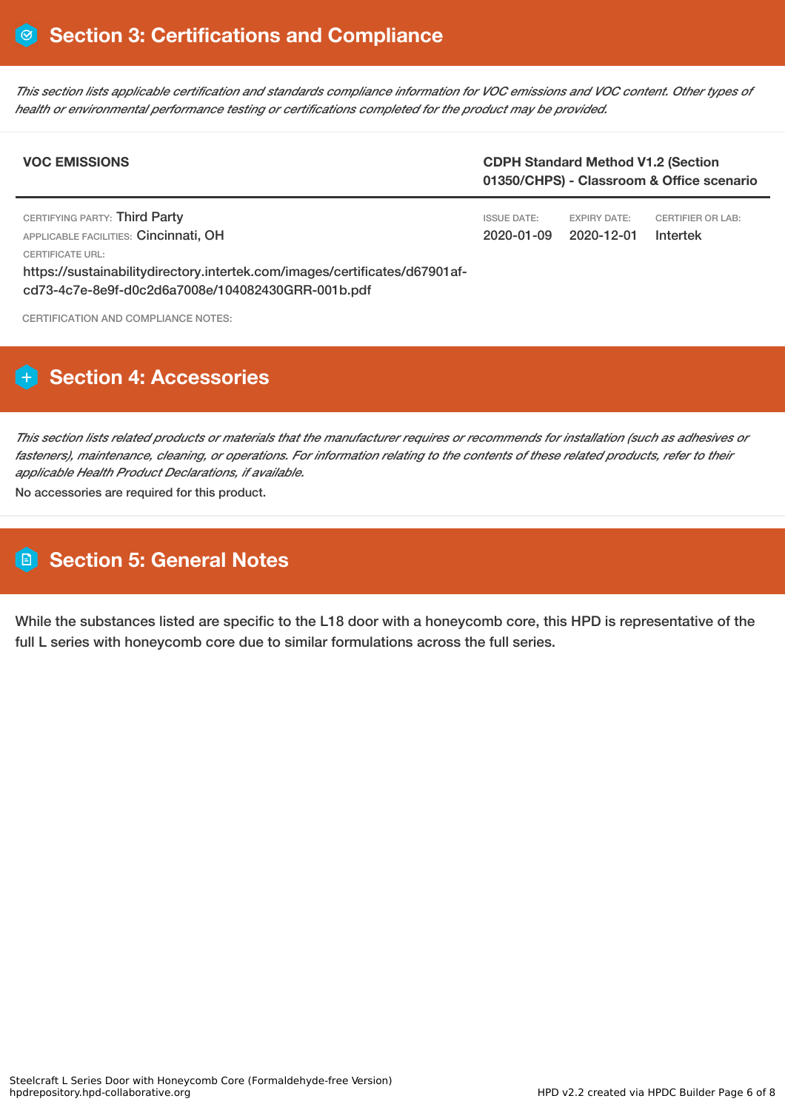This section lists applicable certification and standards compliance information for VOC emissions and VOC content. Other types of *health or environmental performance testing or certifications completed for the product may be provided.*

| <b>VOC EMISSIONS</b>                                                                                                            | <b>CDPH Standard Method V1.2 (Section</b><br>01350/CHPS) - Classroom & Office scenario |                                   |                                      |
|---------------------------------------------------------------------------------------------------------------------------------|----------------------------------------------------------------------------------------|-----------------------------------|--------------------------------------|
| CERTIFYING PARTY: Third Party<br>APPLICABLE FACILITIES: Cincinnati, OH<br>CERTIFICATE URL:                                      | <b>ISSUE DATE:</b><br>2020-01-09                                                       | <b>EXPIRY DATE:</b><br>2020-12-01 | <b>CERTIFIER OR LAB:</b><br>Intertek |
| https://sustainabilitydirectory.intertek.com/images/certificates/d67901af-<br>cd73-4c7e-8e9f-d0c2d6a7008e/104082430GRR-001b.pdf |                                                                                        |                                   |                                      |

CERTIFICATION AND COMPLIANCE NOTES:

### **H** Section 4: Accessories

This section lists related products or materials that the manufacturer requires or recommends for installation (such as adhesives or fasteners), maintenance, cleaning, or operations. For information relating to the contents of these related products, refer to their *applicable Health Product Declarations, if available.*

No accessories are required for this product.

# **Section 5: General Notes**

While the substances listed are specific to the L18 door with a honeycomb core, this HPD is representative of the full L series with honeycomb core due to similar formulations across the full series.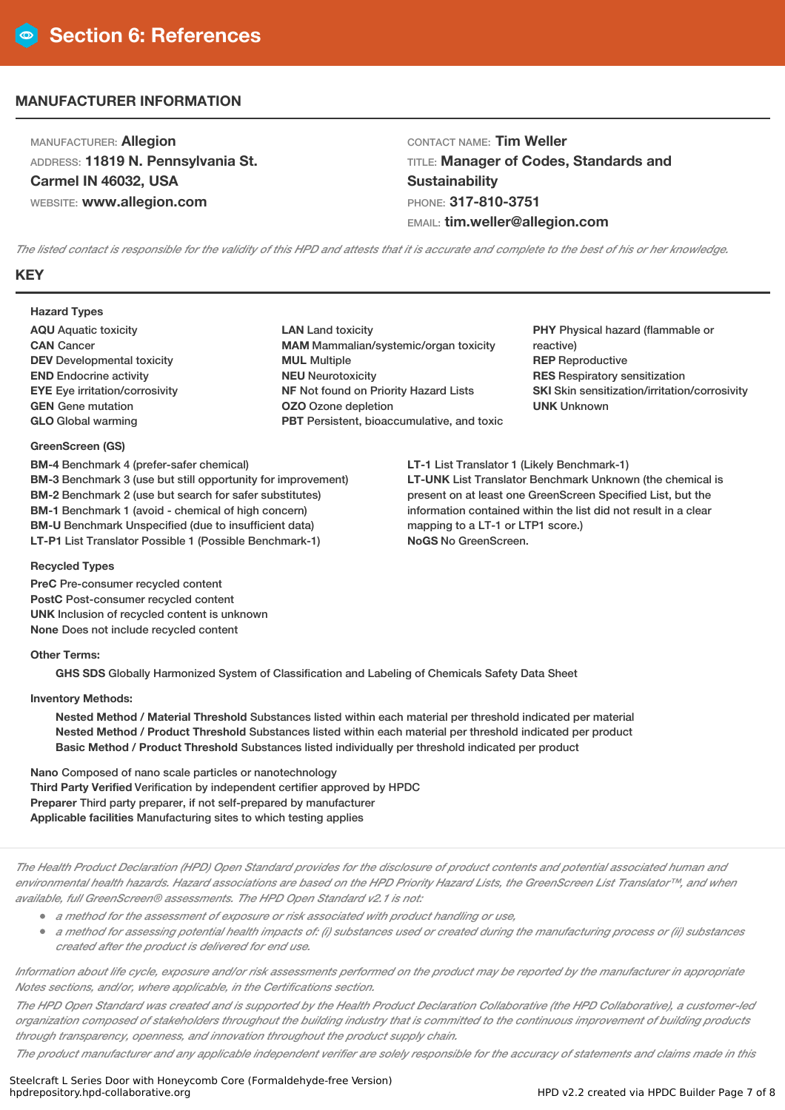### **MANUFACTURER INFORMATION**

MANUFACTURER: **Allegion** ADDRESS: **11819 N. Pennsylvania St. Carmel IN 46032, USA** WEBSITE: **www.allegion.com**

CONTACT NAME: **Tim Weller** TITLE: **Manager of Codes, Standards and Sustainability** PHONE: **317-810-3751** EMAIL: **tim.weller@allegion.com**

The listed contact is responsible for the validity of this HPD and attests that it is accurate and complete to the best of his or her knowledge.

#### **KEY**

#### **Hazard Types**

**AQU** Aquatic toxicity **CAN** Cancer **DEV** Developmental toxicity **END** Endocrine activity **EYE** Eye irritation/corrosivity **GEN** Gene mutation **GLO** Global warming

#### **GreenScreen (GS)**

**BM-4** Benchmark 4 (prefer-safer chemical) **BM-3** Benchmark 3 (use but still opportunity for improvement) **BM-2** Benchmark 2 (use but search for safer substitutes) **BM-1** Benchmark 1 (avoid - chemical of high concern) **BM-U** Benchmark Unspecified (due to insufficient data) **LT-P1** List Translator Possible 1 (Possible Benchmark-1)

#### **LAN** Land toxicity **MAM** Mammalian/systemic/organ toxicity **MUL** Multiple **NEU** Neurotoxicity **NF** Not found on Priority Hazard Lists **OZO** Ozone depletion **PBT** Persistent, bioaccumulative, and toxic

**PHY** Physical hazard (flammable or reactive) **REP** Reproductive **RES** Respiratory sensitization **SKI** Skin sensitization/irritation/corrosivity **UNK** Unknown

**LT-1** List Translator 1 (Likely Benchmark-1) **LT-UNK** List Translator Benchmark Unknown (the chemical is present on at least one GreenScreen Specified List, but the information contained within the list did not result in a clear mapping to a LT-1 or LTP1 score.) **NoGS** No GreenScreen.

#### **Recycled Types**

**PreC** Pre-consumer recycled content **PostC** Post-consumer recycled content **UNK** Inclusion of recycled content is unknown **None** Does not include recycled content

#### **Other Terms:**

**GHS SDS** Globally Harmonized System of Classification and Labeling of Chemicals Safety Data Sheet

#### **Inventory Methods:**

**Nested Method / Material Threshold** Substances listed within each material per threshold indicated per material **Nested Method / Product Threshold** Substances listed within each material per threshold indicated per product **Basic Method / Product Threshold** Substances listed individually per threshold indicated per product

**Nano** Composed of nano scale particles or nanotechnology **Third Party Verified** Verification by independent certifier approved by HPDC **Preparer** Third party preparer, if not self-prepared by manufacturer **Applicable facilities** Manufacturing sites to which testing applies

The Health Product Declaration (HPD) Open Standard provides for the disclosure of product contents and potential associated human and environmental health hazards. Hazard associations are based on the HPD Priority Hazard Lists, the GreenScreen List Translator™, and when *available, full GreenScreen® assessments. The HPD Open Standard v2.1 is not:*

- *<sup>a</sup> method for the assessment of exposure or risk associated with product handling or use,*
- a method for assessing potential health impacts of: (i) substances used or created during the manufacturing process or (ii) substances *created after the product is delivered for end use.*

Information about life cycle, exposure and/or risk assessments performed on the product may be reported by the manufacturer in appropriate *Notes sections, and/or, where applicable, in the Certifications section.*

The HPD Open Standard was created and is supported by the Health Product Declaration Collaborative (the HPD Collaborative), a customer-led organization composed of stakeholders throughout the building industry that is committed to the continuous improvement of building products *through transparency, openness, and innovation throughout the product supply chain.*

The product manufacturer and any applicable independent verifier are solely responsible for the accuracy of statements and claims made in this

Steelcraft L Series Door with Honeycomb Core (Formaldehyde-free Version)